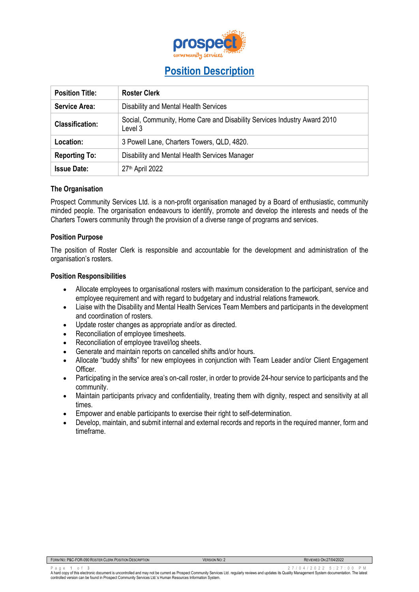

# **Position Description**

| <b>Position Title:</b> | <b>Roster Clerk</b>                                                                 |
|------------------------|-------------------------------------------------------------------------------------|
| <b>Service Area:</b>   | Disability and Mental Health Services                                               |
| <b>Classification:</b> | Social, Community, Home Care and Disability Services Industry Award 2010<br>Level 3 |
| Location:              | 3 Powell Lane, Charters Towers, QLD, 4820.                                          |
| <b>Reporting To:</b>   | Disability and Mental Health Services Manager                                       |
| <b>Issue Date:</b>     | 27 <sup>th</sup> April 2022                                                         |

#### **The Organisation**

Prospect Community Services Ltd. is a non-profit organisation managed by a Board of enthusiastic, community minded people. The organisation endeavours to identify, promote and develop the interests and needs of the Charters Towers community through the provision of a diverse range of programs and services.

## **Position Purpose**

The position of Roster Clerk is responsible and accountable for the development and administration of the organisation's rosters.

#### **Position Responsibilities**

- Allocate employees to organisational rosters with maximum consideration to the participant, service and employee requirement and with regard to budgetary and industrial relations framework.
- Liaise with the Disability and Mental Health Services Team Members and participants in the development and coordination of rosters.
- Update roster changes as appropriate and/or as directed.
- Reconciliation of employee timesheets.
- Reconciliation of employee travel/log sheets.
- Generate and maintain reports on cancelled shifts and/or hours.
- Allocate "buddy shifts" for new employees in conjunction with Team Leader and/or Client Engagement Officer.
- Participating in the service area's on-call roster, in order to provide 24-hour service to participants and the community.
- Maintain participants privacy and confidentiality, treating them with dignity, respect and sensitivity at all times.
- Empower and enable participants to exercise their right to self-determination.
- Develop, maintain, and submit internal and external records and reports in the required manner, form and timeframe.

| FORM NO: P&C-FOR-090 ROSTER CLERK POSITION DESCRIPTION | <b>VERSION NO: 2</b> |
|--------------------------------------------------------|----------------------|
|                                                        |                      |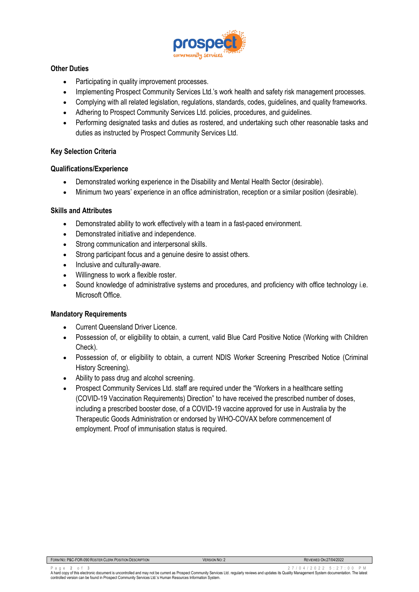

# **Other Duties**

- Participating in quality improvement processes.
- Implementing Prospect Community Services Ltd.'s work health and safety risk management processes.
- Complying with all related legislation, regulations, standards, codes, guidelines, and quality frameworks.
- Adhering to Prospect Community Services Ltd. policies, procedures, and guidelines.
- Performing designated tasks and duties as rostered, and undertaking such other reasonable tasks and duties as instructed by Prospect Community Services Ltd.

## **Key Selection Criteria**

## **Qualifications/Experience**

- Demonstrated working experience in the Disability and Mental Health Sector (desirable).
- Minimum two years' experience in an office administration, reception or a similar position (desirable).

## **Skills and Attributes**

- Demonstrated ability to work effectively with a team in a fast-paced environment.
- Demonstrated initiative and independence.
- Strong communication and interpersonal skills.
- Strong participant focus and a genuine desire to assist others.
- Inclusive and culturally-aware.
- Willingness to work a flexible roster.
- Sound knowledge of administrative systems and procedures, and proficiency with office technology i.e. Microsoft Office.

## **Mandatory Requirements**

- Current Queensland Driver Licence.
- Possession of, or eligibility to obtain, a current, valid Blue Card Positive Notice (Working with Children Check).
- Possession of, or eligibility to obtain, a current NDIS Worker Screening Prescribed Notice (Criminal History Screening).
- Ability to pass drug and alcohol screening.
- Prospect Community Services Ltd. staff are required under the "Workers in a healthcare setting (COVID-19 Vaccination Requirements) Direction" to have received the prescribed number of doses, including a prescribed booster dose, of a COVID-19 vaccine approved for use in Australia by the Therapeutic Goods Administration or endorsed by WHO-COVAX before commencement of employment. Proof of immunisation status is required.

| FORM NO: P&C-FOR-090 ROSTER CLERK POSITION DESCRIPTION | <b>VERSION NO: 2</b> |  |
|--------------------------------------------------------|----------------------|--|
|                                                        |                      |  |

**REVIEWED ON: 27/04/2022**